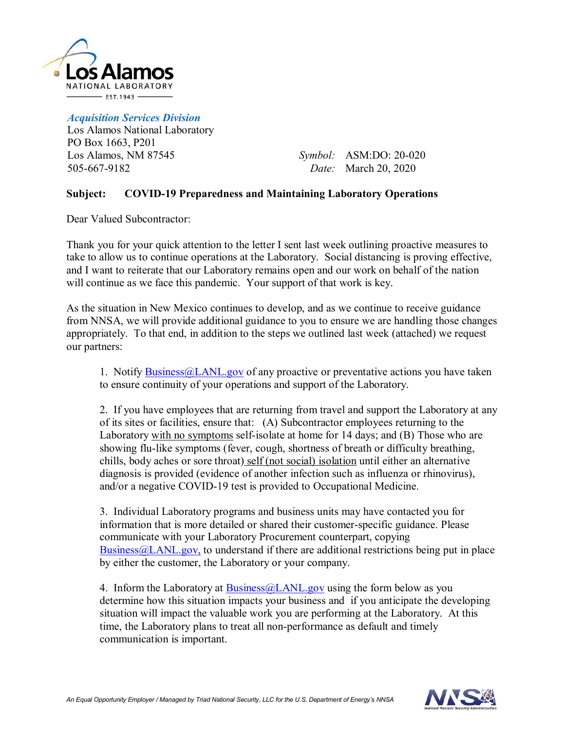

*Acquisition Services Division* Los Alamos National Laboratory PO Box 1663, P201 Los Alamos, NM 87545 505-667-9182

*Symbol:*  ASM:DO: 20-020 *Date:* March 20, 2020

## **Subject: COVID-19 Preparedness and Maintaining Laboratory Operations**

Dear Valued Subcontractor:

Thank you for your quick attention to the letter I sent last week outlining proactive measures to take to allow us to continue operations at the Laboratory. Social distancing is proving effective, and I want to reiterate that our Laboratory remains open and our work on behalf of the nation will continue as we face this pandemic. Your support of that work is key.

As the situation in New Mexico continues to develop, and as we continue to receive guidance from NNSA, we will provide additional guidance to you to ensure we are handling those changes appropriately. To that end, in addition to the steps we outlined last week (attached) we request our partners:

1. Notify [Business@LANL.gov](mailto:Business@LANL.gov) of any proactive or preventative actions you have taken to ensure continuity of your operations and support of the Laboratory.

2. If you have employees that are returning from travel and support the Laboratory at any of its sites or facilities, ensure that: (A) Subcontractor employees returning to the Laboratory with no symptoms self-isolate at home for 14 days; and (B) Those who are showing flu-like symptoms (fever, cough, shortness of breath or difficulty breathing, chills, body aches or sore throat) self (not social) isolation until either an alternative diagnosis is provided (evidence of another infection such as influenza or rhinovirus), and/or a negative COVID-19 test is provided to Occupational Medicine.

3. Individual Laboratory programs and business units may have contacted you for information that is more detailed or shared their customer-specific guidance. Please communicate with your Laboratory Procurement counterpart, copying  $Bussines@LANL.gov$ , to understand if there are additional restrictions being put in place by either the customer, the Laboratory or your company.

4. Inform the Laboratory at  $Bussiness@LANL.gov$  using the form below as you determine how this situation impacts your business and if you anticipate the developing situation will impact the valuable work you are performing at the Laboratory. At this time, the Laboratory plans to treat all non-performance as default and timely communication is important.

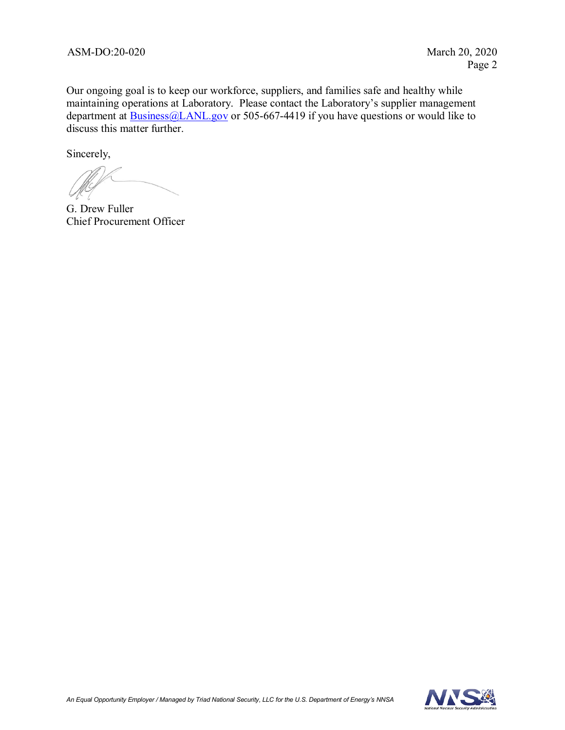Our ongoing goal is to keep our workforce, suppliers, and families safe and healthy while maintaining operations at Laboratory. Please contact the Laboratory's supplier management department at **Business**@LANL.gov or 505-667-4419 if you have questions or would like to discuss this matter further.

Sincerely,

G. Drew Fuller Chief Procurement Officer

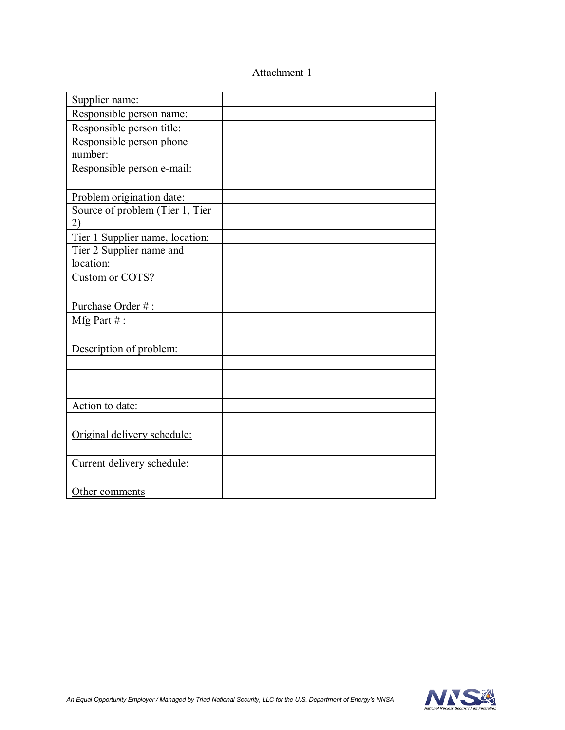## Attachment 1

| Supplier name:                        |  |
|---------------------------------------|--|
| Responsible person name:              |  |
| Responsible person title:             |  |
| Responsible person phone              |  |
| number:                               |  |
| Responsible person e-mail:            |  |
|                                       |  |
| Problem origination date:             |  |
| Source of problem (Tier 1, Tier       |  |
| 2)                                    |  |
| Tier 1 Supplier name, location:       |  |
| Tier 2 Supplier name and<br>location: |  |
| Custom or COTS?                       |  |
|                                       |  |
| Purchase Order #:                     |  |
| Mfg Part #:                           |  |
|                                       |  |
| Description of problem:               |  |
|                                       |  |
|                                       |  |
|                                       |  |
| Action to date:                       |  |
|                                       |  |
| Original delivery schedule:           |  |
|                                       |  |
| Current delivery schedule:            |  |
|                                       |  |
| Other comments                        |  |